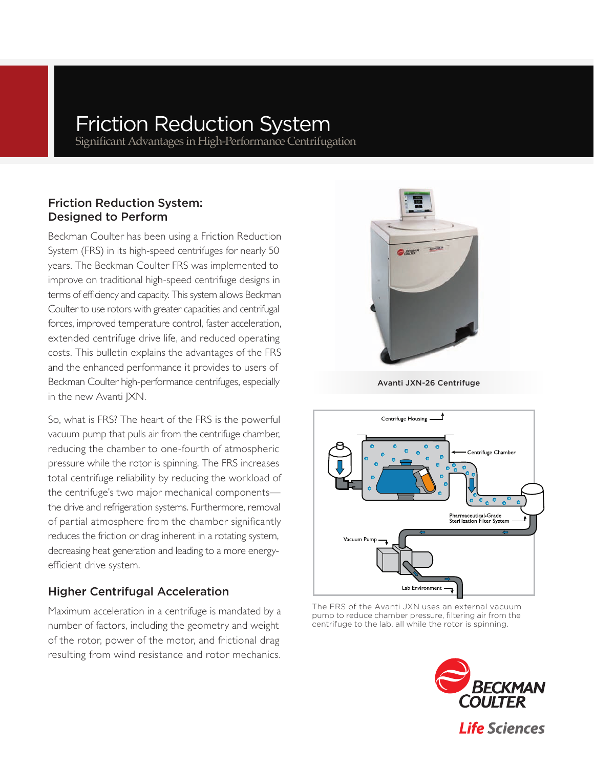# Friction Reduction System

Significant Advantages in High-Performance Centrifugation

# Friction Reduction System: Designed to Perform

Beckman Coulter has been using a Friction Reduction System (FRS) in its high-speed centrifuges for nearly 50 years. The Beckman Coulter FRS was implemented to improve on traditional high-speed centrifuge designs in terms of efficiency and capacity. This system allows Beckman Coulter to use rotors with greater capacities and centrifugal forces, improved temperature control, faster acceleration, extended centrifuge drive life, and reduced operating costs. This bulletin explains the advantages of the FRS and the enhanced performance it provides to users of Beckman Coulter high-performance centrifuges, especially in the new Avanti JXN.

So, what is FRS? The heart of the FRS is the powerful vacuum pump that pulls air from the centrifuge chamber, reducing the chamber to one-fourth of atmospheric pressure while the rotor is spinning. The FRS increases total centrifuge reliability by reducing the workload of the centrifuge's two major mechanical components the drive and refrigeration systems. Furthermore, removal of partial atmosphere from the chamber significantly reduces the friction or drag inherent in a rotating system, decreasing heat generation and leading to a more energyefficient drive system.

# Higher Centrifugal Acceleration

Maximum acceleration in a centrifuge is mandated by a number of factors, including the geometry and weight of the rotor, power of the motor, and frictional drag resulting from wind resistance and rotor mechanics.



Avanti JXN-26 Centrifuge



The FRS of the Avanti JXN uses an external vacuum pump to reduce chamber pressure, filtering air from the centrifuge to the lab, all while the rotor is spinning.

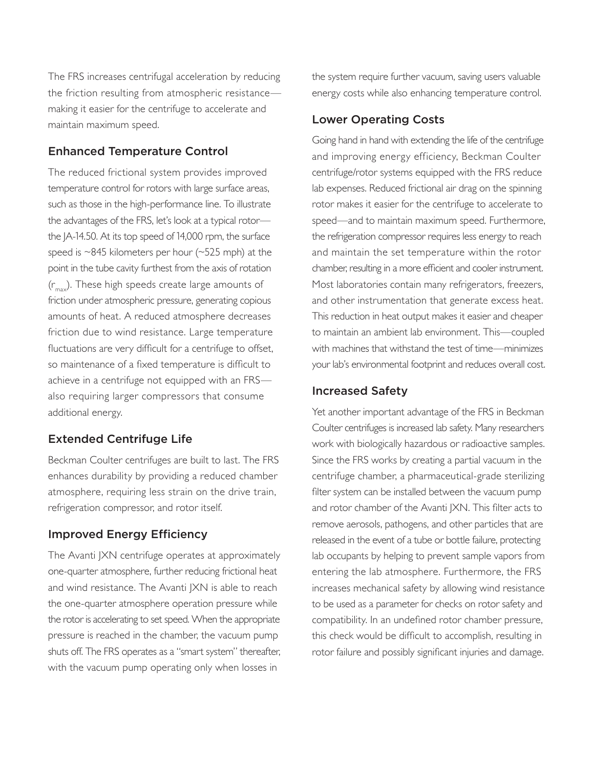The FRS increases centrifugal acceleration by reducing the friction resulting from atmospheric resistance making it easier for the centrifuge to accelerate and maintain maximum speed.

# Enhanced Temperature Control

The reduced frictional system provides improved temperature control for rotors with large surface areas, such as those in the high-performance line. To illustrate the advantages of the FRS, let's look at a typical rotor the JA-14.50. At its top speed of 14,000 rpm, the surface speed is ~845 kilometers per hour (~525 mph) at the point in the tube cavity furthest from the axis of rotation  $(r_{\text{max}})$ . These high speeds create large amounts of friction under atmospheric pressure, generating copious amounts of heat. A reduced atmosphere decreases friction due to wind resistance. Large temperature fluctuations are very difficult for a centrifuge to offset, so maintenance of a fixed temperature is difficult to achieve in a centrifuge not equipped with an FRS also requiring larger compressors that consume additional energy.

# Extended Centrifuge Life

Beckman Coulter centrifuges are built to last. The FRS enhances durability by providing a reduced chamber atmosphere, requiring less strain on the drive train, refrigeration compressor, and rotor itself.

#### Improved Energy Efficiency

The Avanti JXN centrifuge operates at approximately one-quarter atmosphere, further reducing frictional heat and wind resistance. The Avanti JXN is able to reach the one-quarter atmosphere operation pressure while the rotor is accelerating to set speed. When the appropriate pressure is reached in the chamber, the vacuum pump shuts off. The FRS operates as a "smart system" thereafter, with the vacuum pump operating only when losses in

the system require further vacuum, saving users valuable energy costs while also enhancing temperature control.

#### Lower Operating Costs

Going hand in hand with extending the life of the centrifuge and improving energy efficiency, Beckman Coulter centrifuge/rotor systems equipped with the FRS reduce lab expenses. Reduced frictional air drag on the spinning rotor makes it easier for the centrifuge to accelerate to speed—and to maintain maximum speed. Furthermore, the refrigeration compressor requires less energy to reach and maintain the set temperature within the rotor chamber, resulting in a more efficient and cooler instrument. Most laboratories contain many refrigerators, freezers, and other instrumentation that generate excess heat. This reduction in heat output makes it easier and cheaper to maintain an ambient lab environment. This—coupled with machines that withstand the test of time—minimizes your lab's environmental footprint and reduces overall cost.

#### Increased Safety

Yet another important advantage of the FRS in Beckman Coulter centrifuges is increased lab safety. Many researchers work with biologically hazardous or radioactive samples. Since the FRS works by creating a partial vacuum in the centrifuge chamber, a pharmaceutical-grade sterilizing filter system can be installed between the vacuum pump and rotor chamber of the Avanti JXN. This filter acts to remove aerosols, pathogens, and other particles that are released in the event of a tube or bottle failure, protecting lab occupants by helping to prevent sample vapors from entering the lab atmosphere. Furthermore, the FRS increases mechanical safety by allowing wind resistance to be used as a parameter for checks on rotor safety and compatibility. In an undefined rotor chamber pressure, this check would be difficult to accomplish, resulting in rotor failure and possibly significant injuries and damage.